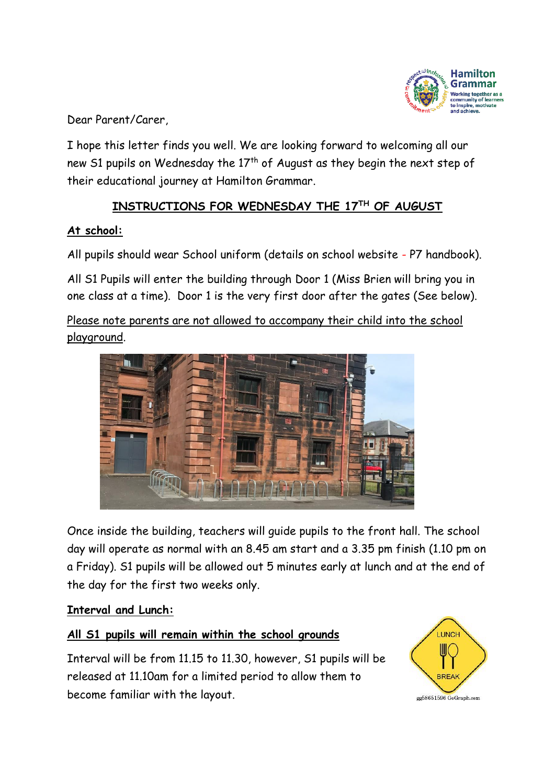

Dear Parent/Carer,

I hope this letter finds you well. We are looking forward to welcoming all our new S1 pupils on Wednesday the 17<sup>th</sup> of August as they begin the next step of their educational journey at Hamilton Grammar.

## **INSTRUCTIONS FOR WEDNESDAY THE 17 TH OF AUGUST**

### **At school:**

All pupils should wear School uniform (details on school website - P7 handbook).

All S1 Pupils will enter the building through Door 1 (Miss Brien will bring you in one class at a time). Door 1 is the very first door after the gates (See below).

Please note parents are not allowed to accompany their child into the school playground.



Once inside the building, teachers will guide pupils to the front hall. The school day will operate as normal with an 8.45 am start and a 3.35 pm finish (1.10 pm on a Friday). S1 pupils will be allowed out 5 minutes early at lunch and at the end of the day for the first two weeks only.

### **Interval and Lunch:**

## **All S1 pupils will remain within the school grounds**

Interval will be from 11.15 to 11.30, however, S1 pupils will be released at 11.10am for a limited period to allow them to become familiar with the layout.